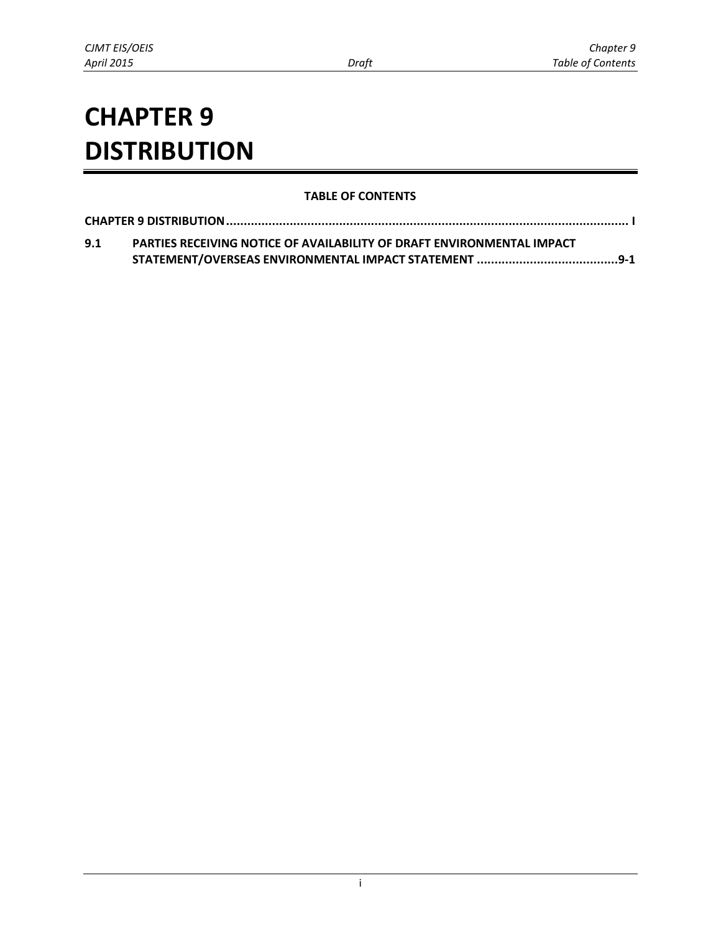# <span id="page-0-0"></span>**CHAPTER 9 DISTRIBUTION**

#### **TABLE OF CONTENTS**

| 9.1 | <b>PARTIES RECEIVING NOTICE OF AVAILABILITY OF DRAFT ENVIRONMENTAL IMPACT</b> |  |
|-----|-------------------------------------------------------------------------------|--|
|     |                                                                               |  |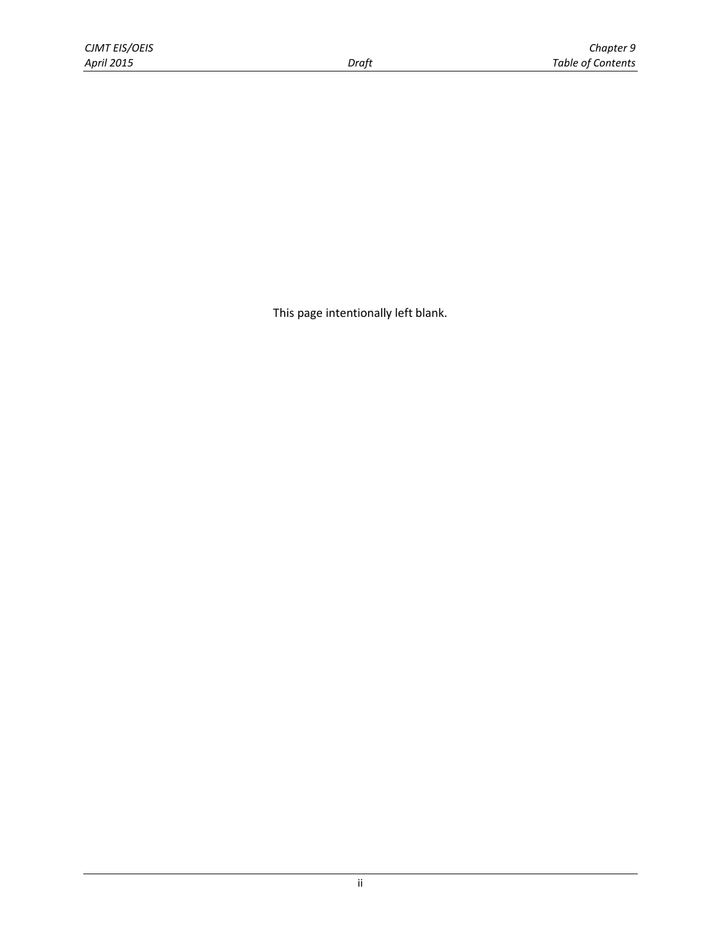This page intentionally left blank.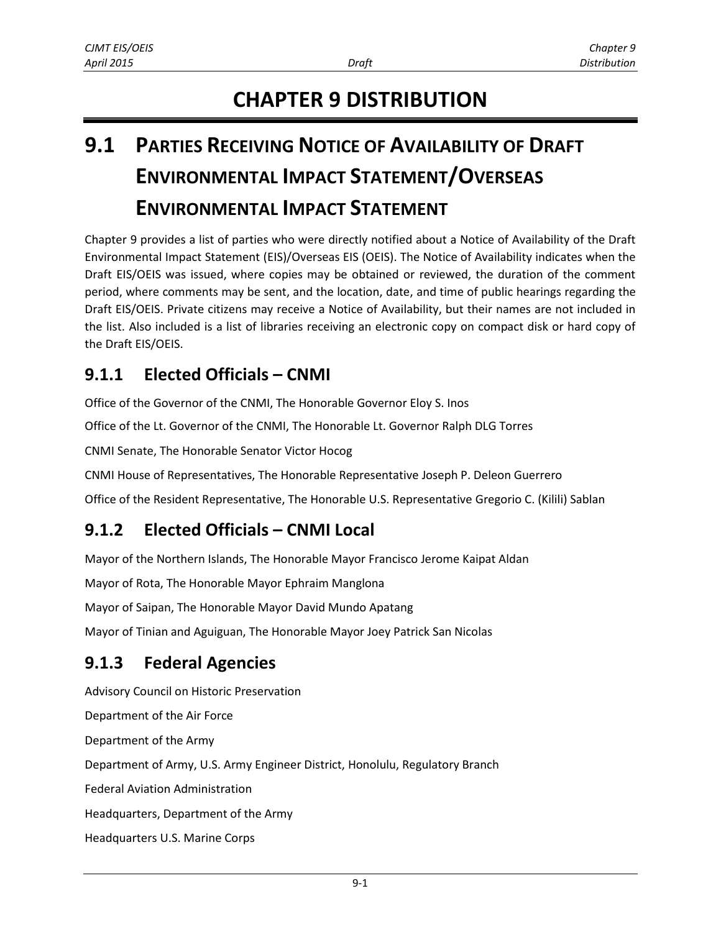### **CHAPTER 9 DISTRIBUTION**

## <span id="page-2-0"></span>**9.1 PARTIES RECEIVING NOTICE OF AVAILABILITY OF DRAFT ENVIRONMENTAL IMPACT STATEMENT/OVERSEAS ENVIRONMENTAL IMPACT STATEMENT**

Chapter 9 provides a list of parties who were directly notified about a Notice of Availability of the Draft Environmental Impact Statement (EIS)/Overseas EIS (OEIS). The Notice of Availability indicates when the Draft EIS/OEIS was issued, where copies may be obtained or reviewed, the duration of the comment period, where comments may be sent, and the location, date, and time of public hearings regarding the Draft EIS/OEIS. Private citizens may receive a Notice of Availability, but their names are not included in the list. Also included is a list of libraries receiving an electronic copy on compact disk or hard copy of the Draft EIS/OEIS.

#### **9.1.1 Elected Officials – CNMI**

Office of the Governor of the CNMI, The Honorable Governor Eloy S. Inos

Office of the Lt. Governor of the CNMI, The Honorable Lt. Governor Ralph DLG Torres

CNMI Senate, The Honorable Senator Victor Hocog

CNMI House of Representatives, The Honorable Representative Joseph P. Deleon Guerrero

Office of the Resident Representative, The Honorable U.S. Representative Gregorio C. (Kilili) Sablan

#### **9.1.2 Elected Officials – CNMI Local**

Mayor of the Northern Islands, The Honorable Mayor Francisco Jerome Kaipat Aldan

Mayor of Rota, The Honorable Mayor Ephraim Manglona

Mayor of Saipan, The Honorable Mayor David Mundo Apatang

Mayor of Tinian and Aguiguan, The Honorable Mayor Joey Patrick San Nicolas

#### **9.1.3 Federal Agencies**

Advisory Council on Historic Preservation Department of the Air Force Department of the Army Department of Army, U.S. Army Engineer District, Honolulu, Regulatory Branch Federal Aviation Administration Headquarters, Department of the Army Headquarters U.S. Marine Corps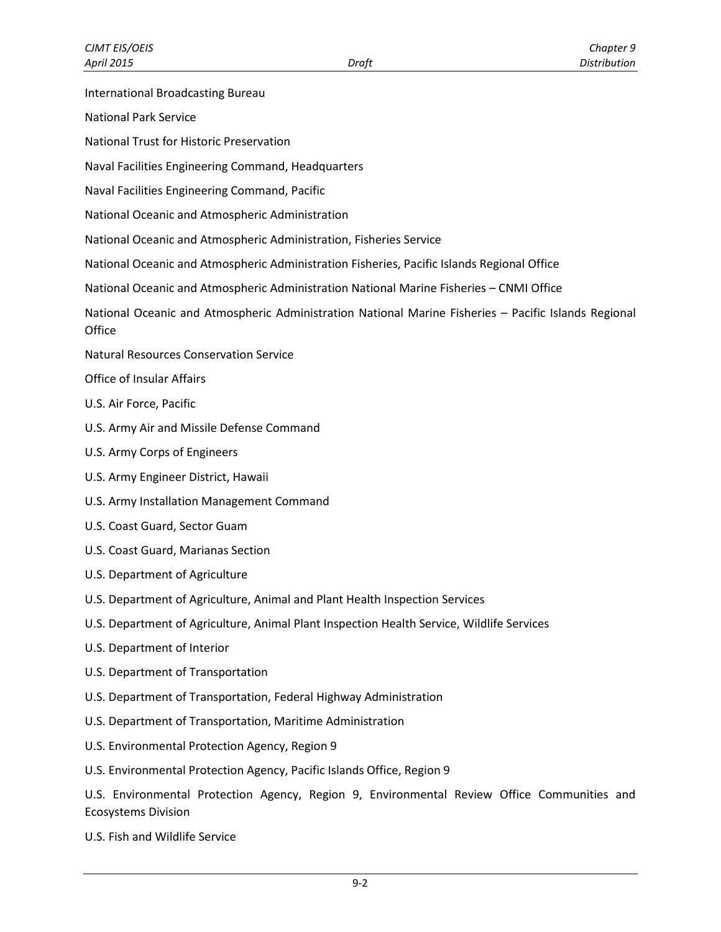International Broadcasting Bureau National Park Service National Trust for Historic Preservation Naval Facilities Engineering Command, Headquarters Naval Facilities Engineering Command, Pacific National Oceanic and Atmospheric Administration National Oceanic and Atmospheric Administration, Fisheries Service National Oceanic and Atmospheric Administration Fisheries, Pacific Islands Regional Office National Oceanic and Atmospheric Administration National Marine Fisheries – CNMI Office National Oceanic and Atmospheric Administration National Marine Fisheries – Pacific Islands Regional **Office** Natural Resources Conservation Service Office of Insular Affairs U.S. Air Force, Pacific U.S. Army Air and Missile Defense Command U.S. Army Corps of Engineers U.S. Army Engineer District, Hawaii U.S. Army Installation Management Command U.S. Coast Guard, Sector Guam U.S. Coast Guard, Marianas Section U.S. Department of Agriculture U.S. Department of Agriculture, Animal and Plant Health Inspection Services U.S. Department of Agriculture, Animal Plant Inspection Health Service, Wildlife Services U.S. Department of Interior U.S. Department of Transportation U.S. Department of Transportation, Federal Highway Administration U.S. Department of Transportation, Maritime Administration U.S. Environmental Protection Agency, Region 9 U.S. Environmental Protection Agency, Pacific Islands Office, Region 9 U.S. Environmental Protection Agency, Region 9, Environmental Review Office Communities and Ecosystems Division

U.S. Fish and Wildlife Service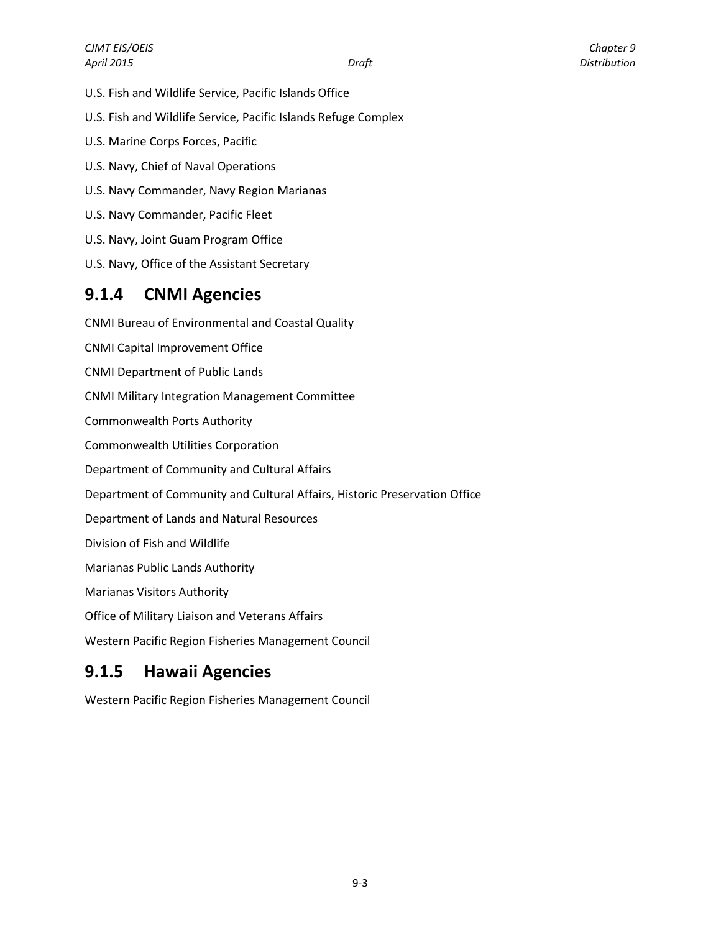U.S. Fish and Wildlife Service, Pacific Islands Office

U.S. Fish and Wildlife Service, Pacific Islands Refuge Complex

U.S. Marine Corps Forces, Pacific

U.S. Navy, Chief of Naval Operations

U.S. Navy Commander, Navy Region Marianas

U.S. Navy Commander, Pacific Fleet

U.S. Navy, Joint Guam Program Office

U.S. Navy, Office of the Assistant Secretary

#### **9.1.4 CNMI Agencies**

CNMI Bureau of Environmental and Coastal Quality

CNMI Capital Improvement Office

CNMI Department of Public Lands

CNMI Military Integration Management Committee

Commonwealth Ports Authority

Commonwealth Utilities Corporation

Department of Community and Cultural Affairs

Department of Community and Cultural Affairs, Historic Preservation Office

Department of Lands and Natural Resources

Division of Fish and Wildlife

Marianas Public Lands Authority

Marianas Visitors Authority

Office of Military Liaison and Veterans Affairs

Western Pacific Region Fisheries Management Council

#### **9.1.5 Hawaii Agencies**

Western Pacific Region Fisheries Management Council